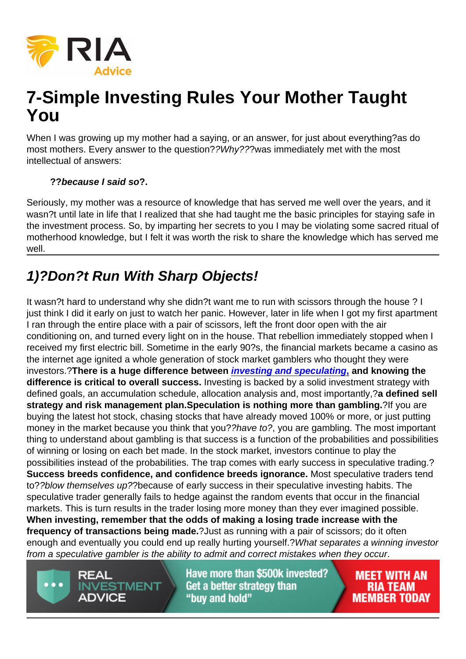# 7-Simple Investing Rules Your Mother Taught You

When I was growing up my mother had a saying, or an answer, for just about everything?as do most mothers. Every answer to the question??Why???was immediately met with the most intellectual of answers:

??because I said so ?.

Seriously, my mother was a resource of knowledge that has served me well over the years, and it wasn?t until late in life that I realized that she had taught me the basic principles for staying safe in the investment process. So, by imparting her secrets to you I may be violating some sacred ritual of motherhood knowledge, but I felt it was worth the risk to share the knowledge which has served me well.

# 1)?Don?t Run With Sharp Objects!

It wasn?t hard to understand why she didn?t want me to run with scissors through the house ? I just think I did it early on just to watch her panic. However, later in life when I got my first apartment I ran through the entire place with a pair of scissors, left the front door open with the air conditioning on, and turned every light on in the house. That rebellion immediately stopped when I received my first electric bill. Sometime in the early 90?s, the financial markets became a casino as the internet age ignited a whole generation of stock market gamblers who thought they were investors.?There is a huge difference between [investing and speculating](https://realinvestmentadvice.com/the-difference-between-investing-speculation-10-investing-rules/) , and knowing the difference is critical to overall success. Investing is backed by a solid investment strategy with defined goals, an accumulation schedule, allocation analysis and, most importantly,?a defined sell strategy and risk management plan. Speculation is nothing more than gambling. ?If you are buying the latest hot stock, chasing stocks that have already moved 100% or more, or just putting money in the market because you think that you??have to?, you are gambling. The most important thing to understand about gambling is that success is a function of the probabilities and possibilities of winning or losing on each bet made. In the stock market, investors continue to play the possibilities instead of the probabilities. The trap comes with early success in speculative trading.? Success breeds confidence, and confidence breeds ignorance. Most speculative traders tend to??blow themselves up??because of early success in their speculative investing habits. The speculative trader generally fails to hedge against the random events that occur in the financial markets. This is turn results in the trader losing more money than they ever imagined possible. When investing, remember that the odds of making a losing trade increase with the frequency of transactions being made. ?Just as running with a pair of scissors; do it often enough and eventually you could end up really hurting yourself.?What separates a winning investor from a speculative gambler is the ability to admit and correct mistakes when they occur.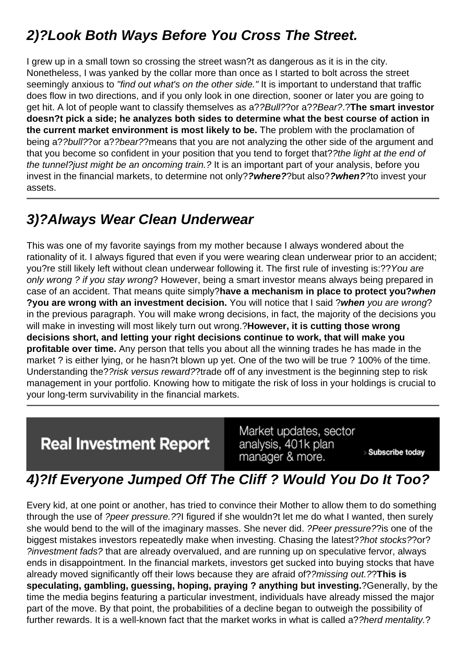#### 2)?Look Both Ways Before You Cross The Street.

I grew up in a small town so crossing the street wasn?t as dangerous as it is in the city. Nonetheless, I was yanked by the collar more than once as I started to bolt across the street seemingly anxious to "find out what's on the other side." It is important to understand that traffic does flow in two directions, and if you only look in one direction, sooner or later you are going to get hit. A lot of people want to classify themselves as a??Bull??or a??Bear?.?The smart investor doesn?t pick a side; he analyzes both sides to determine what the best course of action in the current market environment is most likely to be. The problem with the proclamation of being a??bull??or a??bear??means that you are not analyzing the other side of the argument and that you become so confident in your position that you tend to forget that??the light at the end of the tunnel?just might be an oncoming train.? It is an important part of your analysis, before you invest in the financial markets, to determine not only??where? ?but also??when? ?to invest your assets.

#### 3)?Always Wear Clean Underwear

This was one of my favorite sayings from my mother because I always wondered about the rationality of it. I always figured that even if you were wearing clean underwear prior to an accident; you?re still likely left without clean underwear following it. The first rule of investing is:??You are only wrong ? if you stay wrong? However, being a smart investor means always being prepared in case of an accident. That means quite simply?have a mechanism in place to protect you? when ?you are wrong with an investment decision. You will notice that I said ?when you are wrong? in the previous paragraph. You will make wrong decisions, in fact, the majority of the decisions you will make in investing will most likely turn out wrong.?However, it is cutting those wrong decisions short, and letting your right decisions continue to work, that will make you profitable over time. Any person that tells you about all the winning trades he has made in the market ? is either lying, or he hasn?t blown up yet. One of the two will be true ? 100% of the time. Understanding the??risk versus reward??trade off of any investment is the beginning step to risk management in your portfolio. Knowing how to mitigate the risk of loss in your holdings is crucial to your long-term survivability in the financial markets.

#### 4)?If Everyone Jumped Off The Cliff ? Would You Do It Too?

Every kid, at one point or another, has tried to convince their Mother to allow them to do something through the use of ?peer pressure.??I figured if she wouldn?t let me do what I wanted, then surely she would bend to the will of the imaginary masses. She never did. ?Peer pressure??is one of the biggest mistakes investors repeatedly make when investing. Chasing the latest??hot stocks??or? ?investment fads? that are already overvalued, and are running up on speculative fervor, always ends in disappointment. In the financial markets, investors get sucked into buying stocks that have already moved significantly off their lows because they are afraid of??missing out.??This is speculating, gambling, guessing, hoping, praying ? anything but investing. **2**Generally, by the time the media begins featuring a particular investment, individuals have already missed the major part of the move. By that point, the probabilities of a decline began to outweigh the possibility of further rewards. It is a well-known fact that the market works in what is called a??herd mentality.?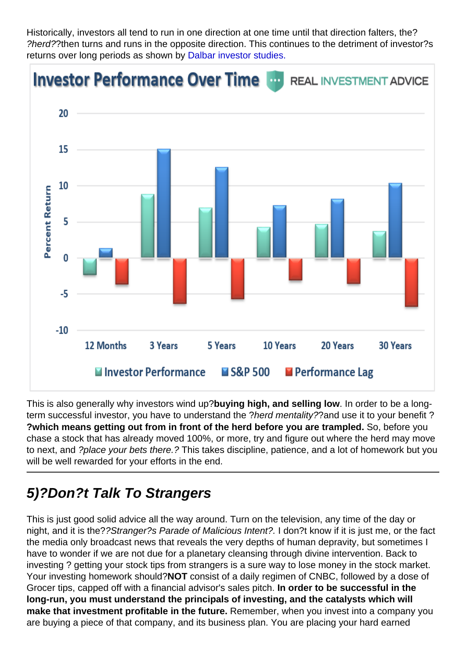Historically, investors all tend to run in one direction at one time until that direction falters, the? ?herd??then turns and runs in the opposite direction. This continues to the detriment of investor?s returns over long periods as shown by [Dalbar investor studies.](https://realinvestmentadvice.com/dalbar-2017-investors-suck-investing-tips-for-advisors/)

This is also generally why investors wind up?buying high, and selling low . In order to be a longterm successful investor, you have to understand the ?herd mentality??and use it to your benefit ? ?which means getting out from in front of the herd before you are trampled. So, before you chase a stock that has already moved 100%, or more, try and figure out where the herd may move to next, and ?place your bets there.? This takes discipline, patience, and a lot of homework but you will be well rewarded for your efforts in the end.

#### 5)?Don?t Talk To Strangers

This is just good solid advice all the way around. Turn on the television, any time of the day or night, and it is the??Stranger?s Parade of Malicious Intent?. I don?t know if it is just me, or the fact the media only broadcast news that reveals the very depths of human depravity, but sometimes I have to wonder if we are not due for a planetary cleansing through divine intervention. Back to investing ? getting your stock tips from strangers is a sure way to lose money in the stock market. Your investing homework should?NOT consist of a daily regimen of CNBC, followed by a dose of Grocer tips, capped off with a financial advisor's sales pitch. In order to be successful in the long-run, you must understand the principals of investing, and the catalysts which will make that investment profitable in the future. Remember, when you invest into a company you are buying a piece of that company, and its business plan. You are placing your hard earned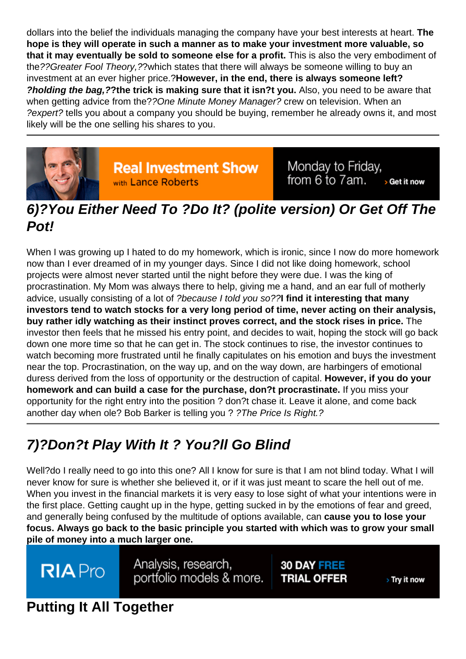dollars into the belief the individuals managing the company have your best interests at heart. The hope is they will operate in such a manner as to make your investment more valuable, so that it may eventually be sold to someone else for a profit. This is also the very embodiment of the??Greater Fool Theory,??which states that there will always be someone willing to buy an investment at an ever higher price.?However, in the end, there is always someone left? ?holding the bag,? ?the trick is making sure that it isn?t you. Also, you need to be aware that when getting advice from the??One Minute Money Manager? crew on television. When an ?expert? tells you about a company you should be buying, remember he already owns it, and most likely will be the one selling his shares to you.

### 6)?You Either Need To ?Do It? (polite version) Or Get Off The Pot!

When I was growing up I hated to do my homework, which is ironic, since I now do more homework now than I ever dreamed of in my younger days. Since I did not like doing homework, school projects were almost never started until the night before they were due. I was the king of procrastination. My Mom was always there to help, giving me a hand, and an ear full of motherly advice, usually consisting of a lot of ?because I told you so??I find it interesting that many investors tend to watch stocks for a very long period of time, never acting on their analysis, buy rather idly watching as their instinct proves correct, and the stock rises in price. The investor then feels that he missed his entry point, and decides to wait, hoping the stock will go back down one more time so that he can get in. The stock continues to rise, the investor continues to watch becoming more frustrated until he finally capitulates on his emotion and buys the investment near the top. Procrastination, on the way up, and on the way down, are harbingers of emotional duress derived from the loss of opportunity or the destruction of capital. However, if you do your homework and can build a case for the purchase, don?t procrastinate. If you miss your opportunity for the right entry into the position ? don?t chase it. Leave it alone, and come back another day when ole? Bob Barker is telling you ? ?The Price Is Right.?

# 7)?Don?t Play With It ? You?ll Go Blind

Well?do I really need to go into this one? All I know for sure is that I am not blind today. What I will never know for sure is whether she believed it, or if it was just meant to scare the hell out of me. When you invest in the financial markets it is very easy to lose sight of what your intentions were in the first place. Getting caught up in the hype, getting sucked in by the emotions of fear and greed, and generally being confused by the multitude of options available, can cause you to lose your focus. Always go back to the basic principle you started with which was to grow your small pile of money into a much larger one.

#### Putting It All Together